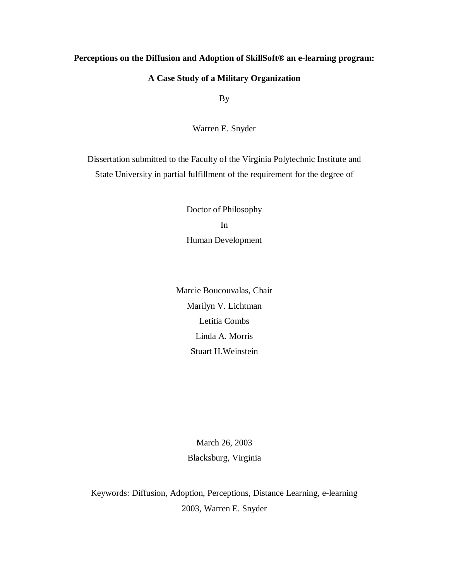## **Perceptions on the Diffusion and Adoption of SkillSoft® an e-learning program:**

## **A Case Study of a Military Organization**

By

Warren E. Snyder

Dissertation submitted to the Faculty of the Virginia Polytechnic Institute and State University in partial fulfillment of the requirement for the degree of

> Doctor of Philosophy In Human Development

Marcie Boucouvalas, Chair Marilyn V. Lichtman Letitia Combs Linda A. Morris Stuart H.Weinstein

> March 26, 2003 Blacksburg, Virginia

Keywords: Diffusion, Adoption, Perceptions, Distance Learning, e-learning 2003, Warren E. Snyder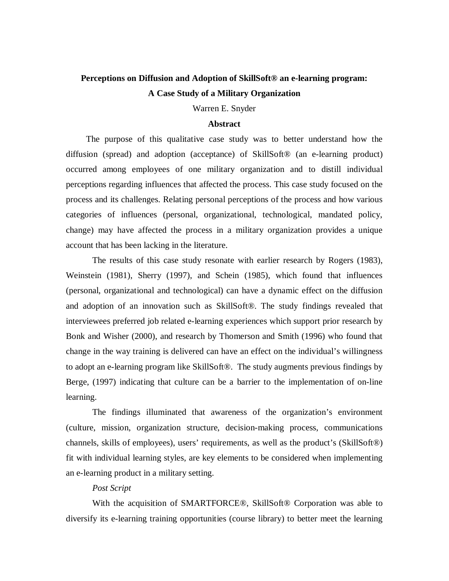# **Perceptions on Diffusion and Adoption of SkillSoft® an e-learning program: A Case Study of a Military Organization**

Warren E. Snyder

#### **Abstract**

The purpose of this qualitative case study was to better understand how the diffusion (spread) and adoption (acceptance) of SkillSoft® (an e-learning product) occurred among employees of one military organization and to distill individual perceptions regarding influences that affected the process. This case study focused on the process and its challenges. Relating personal perceptions of the process and how various categories of influences (personal, organizational, technological, mandated policy, change) may have affected the process in a military organization provides a unique account that has been lacking in the literature.

 The results of this case study resonate with earlier research by Rogers (1983), Weinstein (1981), Sherry (1997), and Schein (1985), which found that influences (personal, organizational and technological) can have a dynamic effect on the diffusion and adoption of an innovation such as SkillSoft®. The study findings revealed that interviewees preferred job related e-learning experiences which support prior research by Bonk and Wisher (2000), and research by Thomerson and Smith (1996) who found that change in the way training is delivered can have an effect on the individual's willingness to adopt an e-learning program like SkillSoft®. The study augments previous findings by Berge, (1997) indicating that culture can be a barrier to the implementation of on-line learning.

The findings illuminated that awareness of the organization's environment (culture, mission, organization structure, decision-making process, communications channels, skills of employees), users' requirements, as well as the product's (SkillSoft®) fit with individual learning styles, are key elements to be considered when implementing an e-learning product in a military setting.

#### *Post Script*

With the acquisition of SMARTFORCE®, SkillSoft® Corporation was able to diversify its e-learning training opportunities (course library) to better meet the learning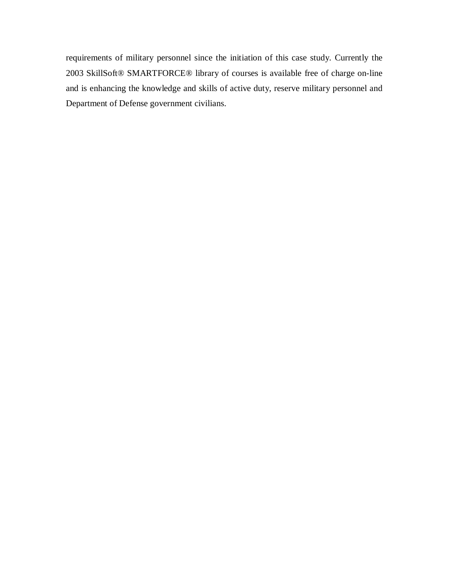requirements of military personnel since the initiation of this case study. Currently the 2003 SkillSoft® SMARTFORCE® library of courses is available free of charge on-line and is enhancing the knowledge and skills of active duty, reserve military personnel and Department of Defense government civilians.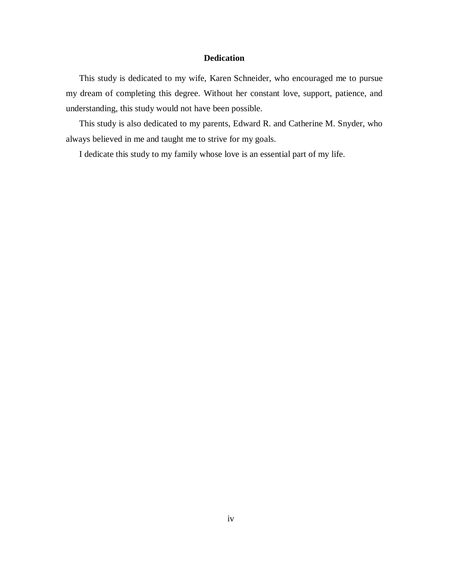### **Dedication**

This study is dedicated to my wife, Karen Schneider, who encouraged me to pursue my dream of completing this degree. Without her constant love, support, patience, and understanding, this study would not have been possible.

This study is also dedicated to my parents, Edward R. and Catherine M. Snyder, who always believed in me and taught me to strive for my goals.

I dedicate this study to my family whose love is an essential part of my life.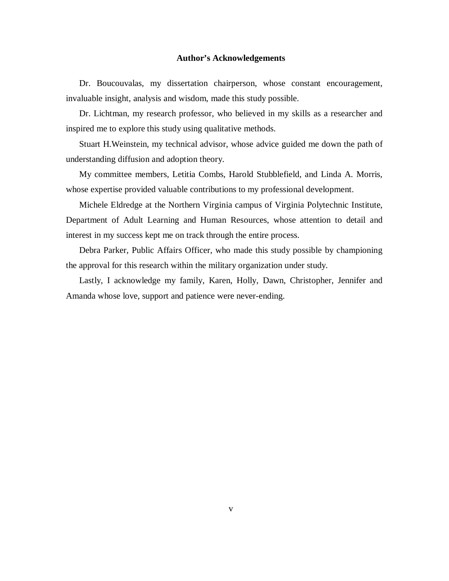#### **Author's Acknowledgements**

Dr. Boucouvalas, my dissertation chairperson, whose constant encouragement, invaluable insight, analysis and wisdom, made this study possible.

Dr. Lichtman, my research professor, who believed in my skills as a researcher and inspired me to explore this study using qualitative methods.

Stuart H.Weinstein, my technical advisor, whose advice guided me down the path of understanding diffusion and adoption theory.

My committee members, Letitia Combs, Harold Stubblefield, and Linda A. Morris, whose expertise provided valuable contributions to my professional development.

Michele Eldredge at the Northern Virginia campus of Virginia Polytechnic Institute, Department of Adult Learning and Human Resources, whose attention to detail and interest in my success kept me on track through the entire process.

Debra Parker, Public Affairs Officer, who made this study possible by championing the approval for this research within the military organization under study.

Lastly, I acknowledge my family, Karen, Holly, Dawn, Christopher, Jennifer and Amanda whose love, support and patience were never-ending.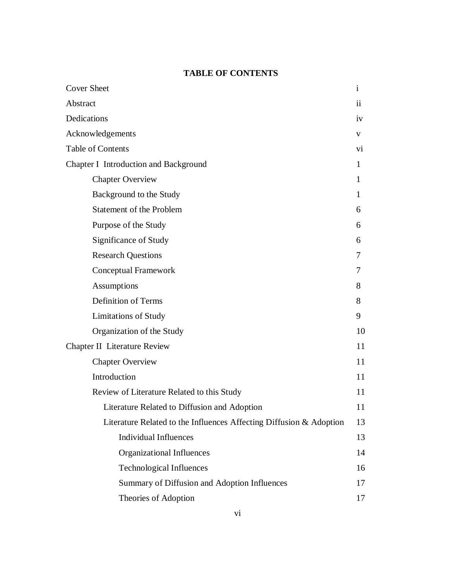## **TABLE OF CONTENTS**

| <b>Cover Sheet</b>                                                  | $\mathbf{i}$            |
|---------------------------------------------------------------------|-------------------------|
| Abstract                                                            | $\overline{\mathbf{u}}$ |
| Dedications                                                         |                         |
| Acknowledgements                                                    |                         |
| Table of Contents                                                   | Vİ.                     |
| Chapter I Introduction and Background                               |                         |
| <b>Chapter Overview</b>                                             | 1                       |
| Background to the Study                                             | 1                       |
| <b>Statement of the Problem</b>                                     | 6                       |
| Purpose of the Study                                                | 6                       |
| Significance of Study                                               | 6                       |
| <b>Research Questions</b>                                           | 7                       |
| Conceptual Framework                                                | 7                       |
| Assumptions                                                         | 8                       |
| <b>Definition of Terms</b>                                          | 8                       |
| <b>Limitations of Study</b>                                         | 9                       |
| Organization of the Study                                           | 10                      |
| <b>Chapter II Literature Review</b>                                 |                         |
| <b>Chapter Overview</b>                                             | 11                      |
| Introduction                                                        | 11                      |
| Review of Literature Related to this Study                          | 11                      |
| Literature Related to Diffusion and Adoption                        | 11                      |
| Literature Related to the Influences Affecting Diffusion & Adoption | 13                      |
| <b>Individual Influences</b>                                        | 13                      |
| Organizational Influences                                           | 14                      |
| <b>Technological Influences</b>                                     | 16                      |
| Summary of Diffusion and Adoption Influences                        | 17                      |
| Theories of Adoption                                                | 17                      |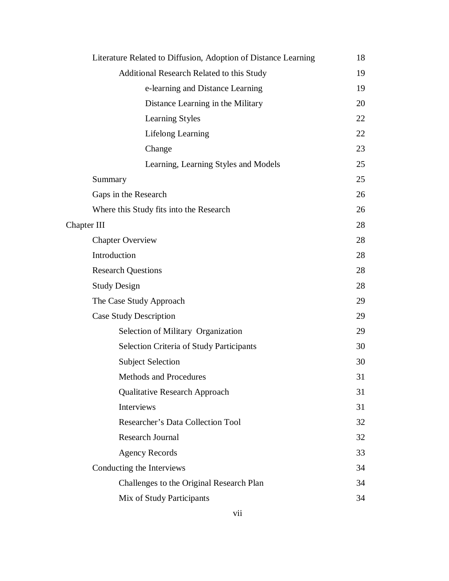| Literature Related to Diffusion, Adoption of Distance Learning | 18 |
|----------------------------------------------------------------|----|
| Additional Research Related to this Study                      | 19 |
| e-learning and Distance Learning                               | 19 |
| Distance Learning in the Military                              | 20 |
| Learning Styles                                                | 22 |
| Lifelong Learning                                              | 22 |
| Change                                                         | 23 |
| Learning, Learning Styles and Models                           | 25 |
| Summary                                                        | 25 |
| Gaps in the Research                                           | 26 |
| Where this Study fits into the Research                        | 26 |
| Chapter III                                                    | 28 |
| <b>Chapter Overview</b>                                        | 28 |
| Introduction                                                   | 28 |
| <b>Research Questions</b>                                      | 28 |
| <b>Study Design</b>                                            | 28 |
| The Case Study Approach                                        | 29 |
| <b>Case Study Description</b>                                  | 29 |
| Selection of Military Organization                             | 29 |
| <b>Selection Criteria of Study Participants</b>                | 30 |
| <b>Subject Selection</b>                                       | 30 |
| <b>Methods and Procedures</b>                                  | 31 |
| <b>Qualitative Research Approach</b>                           | 31 |
| Interviews                                                     | 31 |
| Researcher's Data Collection Tool                              | 32 |
| <b>Research Journal</b>                                        | 32 |
| <b>Agency Records</b>                                          | 33 |
| Conducting the Interviews                                      | 34 |
| Challenges to the Original Research Plan                       | 34 |
| Mix of Study Participants                                      | 34 |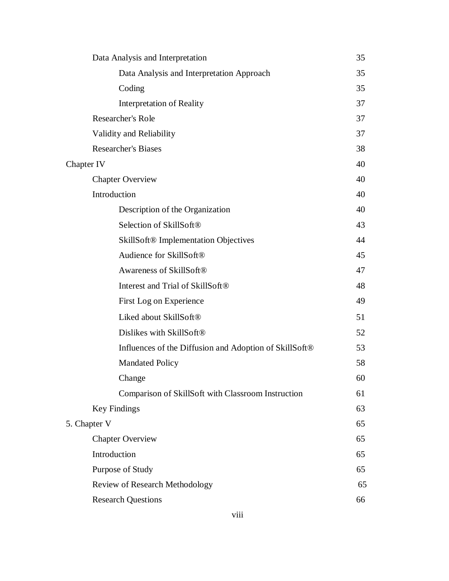| Data Analysis and Interpretation                                   | 35 |
|--------------------------------------------------------------------|----|
| Data Analysis and Interpretation Approach                          | 35 |
| Coding                                                             | 35 |
| <b>Interpretation of Reality</b>                                   | 37 |
| Researcher's Role                                                  | 37 |
| Validity and Reliability                                           | 37 |
| <b>Researcher's Biases</b>                                         | 38 |
| Chapter IV                                                         | 40 |
| <b>Chapter Overview</b>                                            | 40 |
| Introduction                                                       | 40 |
| Description of the Organization                                    | 40 |
| Selection of SkillSoft®                                            | 43 |
| <b>SkillSoft® Implementation Objectives</b>                        | 44 |
| Audience for SkillSoft®                                            | 45 |
| Awareness of SkillSoft®                                            | 47 |
| Interest and Trial of SkillSoft <sup>®</sup>                       | 48 |
| First Log on Experience                                            | 49 |
| Liked about SkillSoft®                                             | 51 |
| Dislikes with SkillSoft®                                           | 52 |
| Influences of the Diffusion and Adoption of SkillSoft <sup>®</sup> | 53 |
| <b>Mandated Policy</b>                                             | 58 |
| Change                                                             | 60 |
| Comparison of SkillSoft with Classroom Instruction                 | 61 |
| <b>Key Findings</b>                                                | 63 |
| 5. Chapter V                                                       | 65 |
| <b>Chapter Overview</b>                                            | 65 |
| Introduction                                                       | 65 |
| Purpose of Study                                                   |    |
| Review of Research Methodology                                     | 65 |
| 65<br><b>Research Questions</b><br>66                              |    |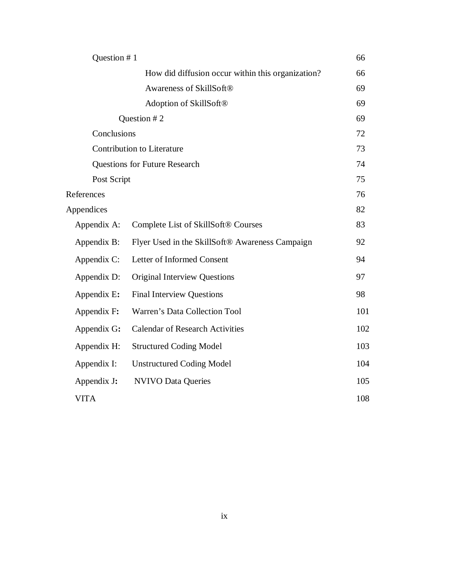| Question #1 |                                                   | 66  |
|-------------|---------------------------------------------------|-----|
|             | How did diffusion occur within this organization? | 66  |
|             | Awareness of SkillSoft®                           | 69  |
|             | Adoption of SkillSoft®                            | 69  |
|             | Question #2                                       | 69  |
| Conclusions |                                                   | 72  |
|             | <b>Contribution to Literature</b>                 | 73  |
|             | <b>Questions for Future Research</b>              | 74  |
| Post Script |                                                   | 75  |
| References  |                                                   | 76  |
| Appendices  |                                                   | 82  |
| Appendix A: | Complete List of SkillSoft® Courses               | 83  |
| Appendix B: | Flyer Used in the SkillSoft® Awareness Campaign   | 92  |
| Appendix C: | Letter of Informed Consent                        | 94  |
| Appendix D: | <b>Original Interview Questions</b>               | 97  |
| Appendix E: | <b>Final Interview Questions</b>                  | 98  |
| Appendix F: | Warren's Data Collection Tool                     | 101 |
| Appendix G: | <b>Calendar of Research Activities</b>            | 102 |
| Appendix H: | <b>Structured Coding Model</b>                    | 103 |
| Appendix I: | <b>Unstructured Coding Model</b>                  | 104 |
| Appendix J: | <b>NVIVO Data Queries</b>                         | 105 |
| <b>VITA</b> |                                                   | 108 |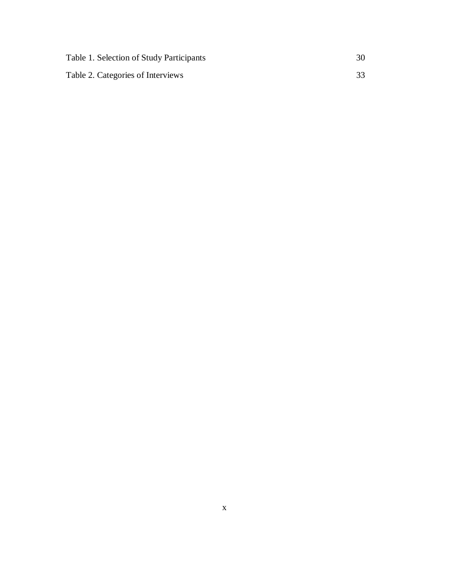| Table 1. Selection of Study Participants |  |
|------------------------------------------|--|
| Table 2. Categories of Interviews        |  |